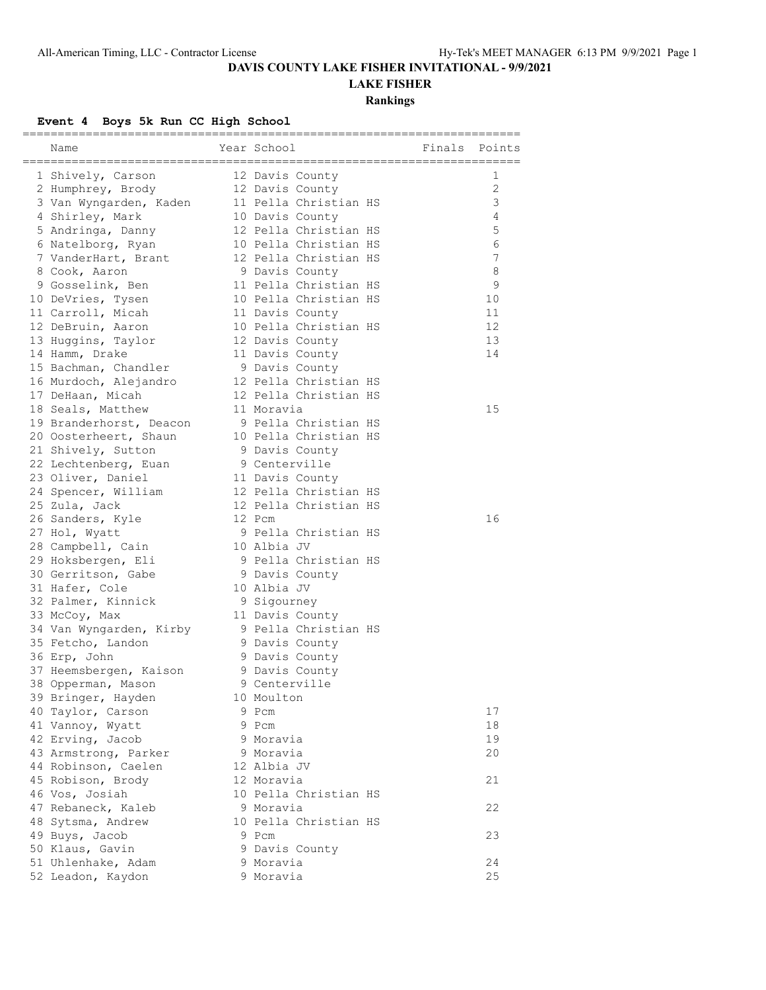## **DAVIS COUNTY LAKE FISHER INVITATIONAL - 9/9/2021**

## **LAKE FISHER**

#### **Rankings**

#### **Event 4 Boys 5k Run CC High School**

| Name                                     | Year School                                    |  | Finals | Points       |
|------------------------------------------|------------------------------------------------|--|--------|--------------|
|                                          |                                                |  |        |              |
| 1 Shively, Carson                        | 12 Davis County                                |  |        | 1            |
| 2 Humphrey, Brody                        | 12 Davis County                                |  |        | $\mathbf{2}$ |
| 3 Van Wyngarden, Kaden                   | 11 Pella Christian HS                          |  |        | 3            |
| 4 Shirley, Mark                          | 10 Davis County                                |  |        | 4            |
| 5 Andringa, Danny                        | 12 Pella Christian HS                          |  |        | 5            |
| 6 Natelborg, Ryan                        | 10 Pella Christian HS                          |  |        | 6            |
| 7 VanderHart, Brant                      | 12 Pella Christian HS                          |  |        | 7            |
| 8 Cook, Aaron                            | 9 Davis County                                 |  |        | 8            |
| 9 Gosselink, Ben                         | 11 Pella Christian HS                          |  |        | 9            |
| 10 DeVries, Tysen                        | 10 Pella Christian HS                          |  |        | 10           |
| 11 Carroll, Micah                        | 11 Davis County                                |  |        | 11           |
| 12 DeBruin, Aaron                        | 10 Pella Christian HS                          |  |        | 12           |
| 13 Huggins, Taylor                       | 12 Davis County                                |  |        | 13           |
| 14 Hamm, Drake                           | 11 Davis County                                |  |        | 14           |
| 15 Bachman, Chandler                     | 9 Davis County                                 |  |        |              |
| 16 Murdoch, Alejandro                    | 12 Pella Christian HS<br>12 Pella Christian HS |  |        |              |
| 17 DeHaan, Micah                         |                                                |  |        |              |
| 18 Seals, Matthew                        | 11 Moravia                                     |  |        | 15           |
| 19 Branderhorst, Deacon                  | 9 Pella Christian HS                           |  |        |              |
| 20 Oosterheert, Shaun                    | 10 Pella Christian HS                          |  |        |              |
| 21 Shively, Sutton                       | 9 Davis County                                 |  |        |              |
| 22 Lechtenberg, Euan                     | 9 Centerville                                  |  |        |              |
| 23 Oliver, Daniel                        | 11 Davis County<br>12 Pella Christian HS       |  |        |              |
| 24 Spencer, William                      |                                                |  |        |              |
| 25 Zula, Jack                            | 12 Pella Christian HS<br>12 Pcm                |  |        | 16           |
| 26 Sanders, Kyle                         | 9 Pella Christian HS                           |  |        |              |
| 27 Hol, Wyatt                            | 10 Albia JV                                    |  |        |              |
| 28 Campbell, Cain                        | 9 Pella Christian HS                           |  |        |              |
| 29 Hoksbergen, Eli<br>30 Gerritson, Gabe | 9 Davis County                                 |  |        |              |
| 31 Hafer, Cole                           | 10 Albia JV                                    |  |        |              |
| 32 Palmer, Kinnick                       | 9 Sigourney                                    |  |        |              |
| 33 McCoy, Max                            | 11 Davis County                                |  |        |              |
| 34 Van Wyngarden, Kirby                  | 9 Pella Christian HS                           |  |        |              |
| 35 Fetcho, Landon                        | 9 Davis County                                 |  |        |              |
| 36 Erp, John                             | 9 Davis County                                 |  |        |              |
| 37 Heemsbergen, Kaison                   | 9 Davis County                                 |  |        |              |
| 38 Opperman, Mason                       | 9 Centerville                                  |  |        |              |
| 39 Bringer, Hayden                       | 10 Moulton                                     |  |        |              |
| 40 Taylor, Carson                        | 9 Pcm                                          |  |        | 17           |
| 41 Vannoy, Wyatt                         | 9 Pcm                                          |  |        | 18           |
| 42 Erving, Jacob                         | 9 Moravia                                      |  |        | 19           |
| 43 Armstrong, Parker                     | 9 Moravia                                      |  |        | 20           |
| 44 Robinson, Caelen                      | 12 Albia JV                                    |  |        |              |
| 45 Robison, Brody                        | 12 Moravia                                     |  |        | 21           |
| 46 Vos, Josiah                           | 10 Pella Christian HS                          |  |        |              |
| 47 Rebaneck, Kaleb                       | 9 Moravia                                      |  |        | 22           |
| 48 Sytsma, Andrew                        | 10 Pella Christian HS                          |  |        |              |
| 49 Buys, Jacob                           | 9 Pcm                                          |  |        | 23           |
| 50 Klaus, Gavin                          | 9 Davis County                                 |  |        |              |
| 51 Uhlenhake, Adam                       | 9 Moravia                                      |  |        | 24           |
| 52 Leadon, Kaydon                        | 9 Moravia                                      |  |        | 25           |
|                                          |                                                |  |        |              |